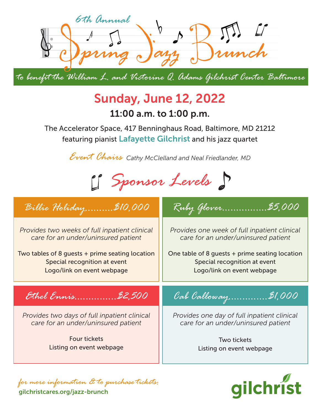

*to benefit the William L. and Victorine Q. Adams Gilchrist Center Baltimore*

## Sunday, June 12, 2022

11:00 a.m. to 1:00 p.m.

featuring pianist Lafayette Gilchrist and his jazz quartet The Accelerator Space, 417 Benninghaus Road, Baltimore, MD 21212

*Event Chairs Cathy McClelland and Neal Friedlander, MD*



## *Provides two weeks of full inpatient clinical care for an under/uninsured patient* Two tables of 8 guests + prime seating location Special recognition at event Logo/link on event webpage *Provides one week of full inpatient clinical care for an under/uninsured patient* One table of 8 guests + prime seating location Special recognition at event Logo/link on event webpage *Provides two days of full inpatient clinical care for an under/uninsured patient* Four tickets Listing on event webpage *Provides one day of full inpatient clinical care for an under/uninsured patient* Two tickets Listing on event webpage *Ruby Glover................\$5,000 Cab Calloway..............\$1,000 Billie Holiday..........\$10,000 Ethel Ennis...............\$2,500*